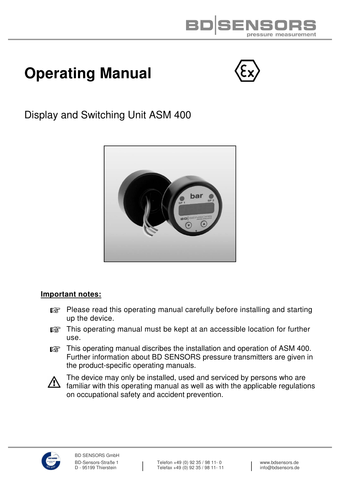

# **Operating Manual**



Display and Switching Unit ASM 400



#### **Important notes:**

- **Please read this operating manual carefully before installing and starting** up the device.
- **IG** This operating manual must be kept at an accessible location for further use.
- **THE THIS OPERATION MANUAL DISCRIPTS THE INSTANCE OF AST AND ASSES** This operation of ASM 400. Further information about BD SENSORS pressure transmitters are given in the product-specific operating manuals.



The device may only be installed, used and serviced by persons who are<br>A familiar with this onerating manual as well as with the applicable requilation familiar with this operating manual as well as with the applicable regulations on occupational safety and accident prevention.

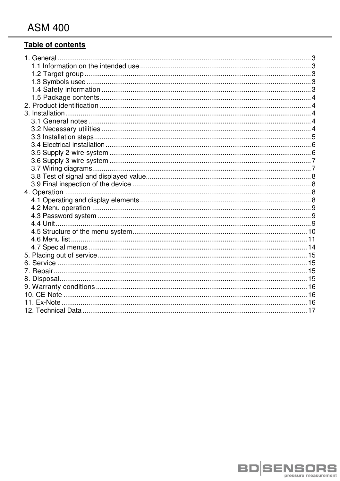# Table of contents

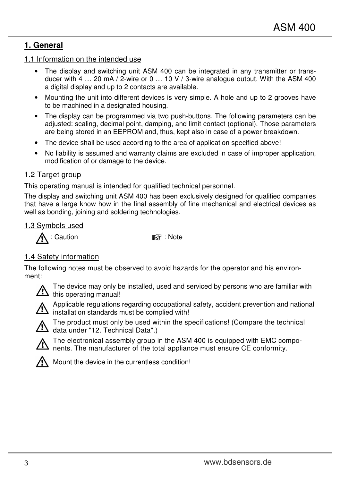# **1. General**

1.1 Information on the intended use

- The display and switching unit ASM 400 can be integrated in any transmitter or transducer with  $4 \ldots 20$  mA  $/$  2-wire or 0  $\ldots$  10 V  $/$  3-wire analogue output. With the ASM 400 a digital display and up to 2 contacts are available.
- Mounting the unit into different devices is very simple. A hole and up to 2 grooves have to be machined in a designated housing.
- The display can be programmed via two push-buttons. The following parameters can be adjusted: scaling, decimal point, damping, and limit contact (optional). Those parameters are being stored in an EEPROM and, thus, kept also in case of a power breakdown.
- The device shall be used according to the area of application specified above!
- No liability is assumed and warranty claims are excluded in case of improper application, modification of or damage to the device.

#### 1.2 Target group

This operating manual is intended for qualified technical personnel.

The display and switching unit ASM 400 has been exclusively designed for qualified companies that have a large know how in the final assembly of fine mechanical and electrical devices as well as bonding, joining and soldering technologies.

#### 1.3 Symbols used

 $\bigwedge$  : Caution  $\mathbb{R}^n$  : Note

## 1.4 Safety information

The following notes must be observed to avoid hazards for the operator and his environment:



The device may only be installed, used and serviced by persons who are familiar with<br>this energting manual this operating manual!



 Applicable regulations regarding occupational safety, accident prevention and national installation standards must be complied with!



 The product must only be used within the specifications! (Compare the technical data under "12. Technical Data".)



 The electronical assembly group in the ASM 400 is equipped with EMC compo-  $\blacktriangle$  nents. The manufacturer of the total appliance must ensure CE conformity.



Mount the device in the currentless condition!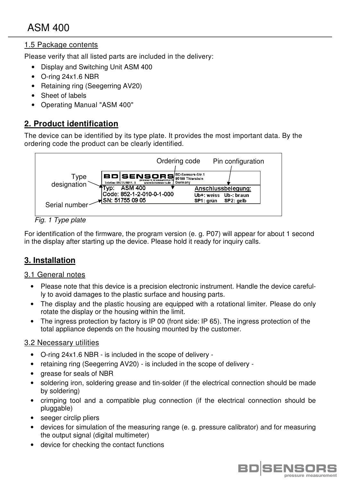# 1.5 Package contents

Please verify that all listed parts are included in the delivery:

- Display and Switching Unit ASM 400
- O-ring 24x1.6 NBR
- Retaining ring (Seegerring AV20)
- Sheet of labels
- Operating Manual "ASM 400"

# **2. Product identification**

The device can be identified by its type plate. It provides the most important data. By the ordering code the product can be clearly identified.



Fig. 1 Type plate

For identification of the firmware, the program version (e. g. P07) will appear for about 1 second in the display after starting up the device. Please hold it ready for inquiry calls.

# **3. Installation**

#### 3.1 General notes

- Please note that this device is a precision electronic instrument. Handle the device carefully to avoid damages to the plastic surface and housing parts.
- The display and the plastic housing are equipped with a rotational limiter. Please do only rotate the display or the housing within the limit.
- The ingress protection by factory is IP 00 (front side: IP 65). The ingress protection of the total appliance depends on the housing mounted by the customer.

#### 3.2 Necessary utilities

- O-ring 24x1.6 NBR is included in the scope of delivery -
- retaining ring (Seegerring AV20) is included in the scope of delivery -
- grease for seals of NBR
- soldering iron, soldering grease and tin-solder (if the electrical connection should be made by soldering)
- crimping tool and a compatible plug connection (if the electrical connection should be pluggable)
- seeger circlip pliers
- devices for simulation of the measuring range (e. g. pressure calibrator) and for measuring the output signal (digital multimeter)
- device for checking the contact functions

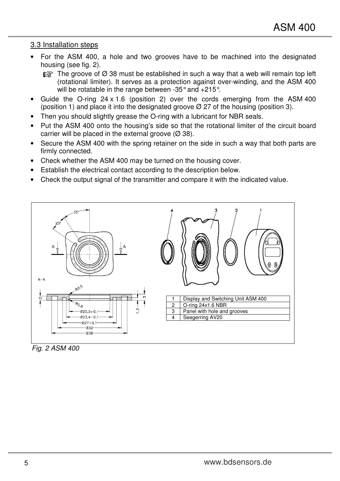#### 3.3 Installation steps

- For the ASM 400, a hole and two grooves have to be machined into the designated housing (see fig. 2).
	- $\mathbb{R}$  The groove of  $\emptyset$  38 must be established in such a way that a web will remain top left (rotational limiter). It serves as a protection against over-winding, and the ASM 400 will be rotatable in the range between -35° and +215°.
- Guide the O-ring  $24 \times 1.6$  (position 2) over the cords emerging from the ASM 400 (position 1) and place it into the designated groove  $\varnothing$  27 of the housing (position 3).
- Then you should slightly grease the O-ring with a lubricant for NBR seals.
- Put the ASM 400 onto the housing's side so that the rotational limiter of the circuit board carrier will be placed in the external groove  $(\emptyset 38)$ .
- Secure the ASM 400 with the spring retainer on the side in such a way that both parts are firmly connected.
- Check whether the ASM 400 may be turned on the housing cover.
- Establish the electrical contact according to the description below.
- Check the output signal of the transmitter and compare it with the indicated value.



Fig. 2 ASM 400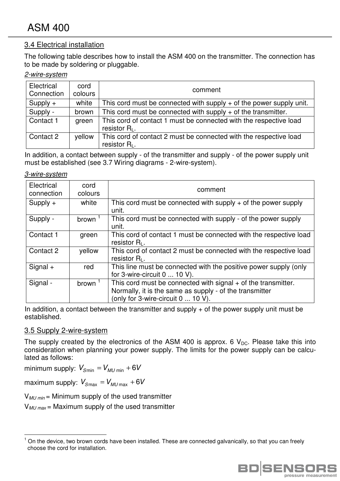#### 3.4 Electrical installation

The following table describes how to install the ASM 400 on the transmitter. The connection has to be made by soldering or pluggable.

#### 2-wire-system

| Electrical<br>Connection | cord<br>colours | comment                                                                               |
|--------------------------|-----------------|---------------------------------------------------------------------------------------|
| $Supply +$               | white           | This cord must be connected with supply $+$ of the power supply unit.                 |
| Supply -                 | brown           | This cord must be connected with supply $+$ of the transmitter.                       |
| Contact 1                | green           | This cord of contact 1 must be connected with the respective load<br>resistor $R_1$ . |
| Contact 2                | yellow          | This cord of contact 2 must be connected with the respective load<br>resistor $R_L$ . |

In addition, a contact between supply - of the transmitter and supply - of the power supply unit must be established (see 3.7 Wiring diagrams - 2-wire-system).

#### 3-wire-system

| Electrical<br>connection | cord<br>colours | comment                                                                                                                                                          |
|--------------------------|-----------------|------------------------------------------------------------------------------------------------------------------------------------------------------------------|
| $Supply +$               | white           | This cord must be connected with supply $+$ of the power supply<br>unit.                                                                                         |
| Supply -                 | brown           | This cord must be connected with supply - of the power supply<br>unit.                                                                                           |
| Contact 1                | green           | This cord of contact 1 must be connected with the respective load<br>resistor $R1$ .                                                                             |
| Contact 2                | yellow          | This cord of contact 2 must be connected with the respective load<br>resistor $R1$ .                                                                             |
| $Signal +$               | red             | This line must be connected with the positive power supply (only<br>for 3-wire-circuit $0 \ldots 10$ V).                                                         |
| Signal -                 | brown           | This cord must be connected with signal $+$ of the transmitter.<br>Normally, it is the same as supply - of the transmitter<br>(only for 3-wire-circuit 0  10 V). |

In addition, a contact between the transmitter and supply  $+$  of the power supply unit must be established.

#### 3.5 Supply 2-wire-system

l.

The supply created by the electronics of the ASM 400 is approx. 6  $V_{DC}$ . Please take this into consideration when planning your power supply. The limits for the power supply can be calculated as follows:

minimum supply:  $V_{Smin} = V_{MU min} + 6V$ 

maximum supply:  $V_{Smax} = V_{MUmax} + 6V$ 

 $V_{MU,min}$  = Minimum supply of the used transmitter

 $V_{MU, max}$  = Maximum supply of the used transmitter

<sup>1</sup> On the device, two brown cords have been installed. These are connected galvanically, so that you can freely choose the cord for installation.

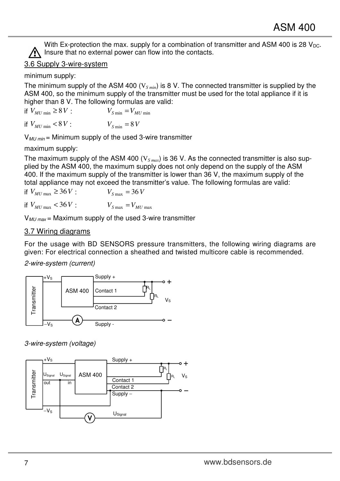With Ex-protection the max. supply for a combination of transmitter and ASM 400 is 28  $V_{DC}$ .  $\bigwedge$  Insure that no external power can flow into the contacts.

# 3.6 Supply 3-wire-system

minimum supply:

The minimum supply of the ASM 400 (V*S min*) is 8 V. The connected transmitter is supplied by the ASM 400, so the minimum supply of the transmitter must be used for the total appliance if it is higher than 8 V. The following formulas are valid:

if  $V_{MI/\text{min}} \geq 8V$  :  $V_{S/\text{min}} = V_{MI/\text{min}}$ if  $V_{MU \text{ min}} < 8 V$ :  $V_{S \text{ min}} = 8 V$ 

 $V_{MII \text{ min}}$  = Minimum supply of the used 3-wire transmitter

maximum supply:

The maximum supply of the ASM 400 (V*S max*) is 36 V. As the connected transmitter is also supplied by the ASM 400, the maximum supply does not only depend on the supply of the ASM 400. If the maximum supply of the transmitter is lower than 36 V, the maximum supply of the total appliance may not exceed the transmitter's value. The following formulas are valid:

if  $V_{MU \max}$  ≥ 36*V* :  $V_{S \max}$  = 36*V* 

if  $V_{MU \max} < 36V$  :  $V_{S \max} = V_{MI \max}$ 

 $V_{MU\,max}$  = Maximum supply of the used 3-wire transmitter

### 3.7 Wiring diagrams

For the usage with BD SENSORS pressure transmitters, the following wiring diagrams are given: For electrical connection a sheathed and twisted multicore cable is recommended.

2-wire-system (current)



3-wire-system (voltage)

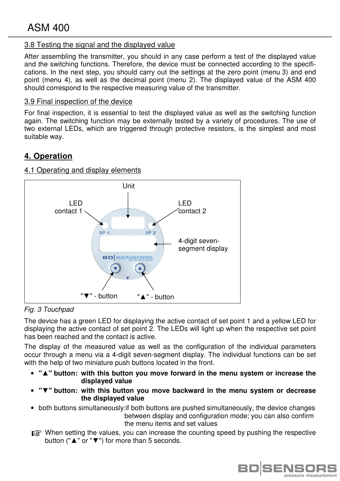### 3.8 Testing the signal and the displayed value

After assembling the transmitter, you should in any case perform a test of the displayed value and the switching functions. Therefore, the device must be connected according to the specifications. In the next step, you should carry out the settings at the zero point (menu 3) and end point (menu 4), as well as the decimal point (menu 2). The displayed value of the ASM 400 should correspond to the respective measuring value of the transmitter.

#### 3.9 Final inspection of the device

For final inspection, it is essential to test the displayed value as well as the switching function again. The switching function may be externally tested by a variety of procedures. The use of two external LEDs, which are triggered through protective resistors, is the simplest and most suitable way.

# **4. Operation**

#### 4.1 Operating and display elements



Fig. 3 Touchpad

The device has a green LED for displaying the active contact of set point 1 and a yellow LED for displaying the active contact of set point 2. The LEDs will light up when the respective set point has been reached and the contact is active.

The display of the measured value as well as the configuration of the individual parameters occur through a menu via a 4-digit seven-segment display. The individual functions can be set with the help of two miniature push buttons located in the front.

- **"▲" button: with this button you move forward in the menu system or increase the displayed value**
- **"▼" button: with this button you move backward in the menu system or decrease the displayed value**
- both buttons simultaneously:if both buttons are pushed simultaneously, the device changes between display and configuration mode; you can also confirm the menu items and set values
- **IS** When setting the values, you can increase the counting speed by pushing the respective button ("▲" or "▼") for more than 5 seconds.

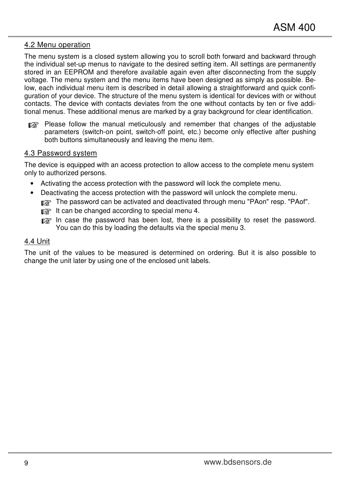#### 4.2 Menu operation

The menu system is a closed system allowing you to scroll both forward and backward through the individual set-up menus to navigate to the desired setting item. All settings are permanently stored in an EEPROM and therefore available again even after disconnecting from the supply voltage. The menu system and the menu items have been designed as simply as possible. Below, each individual menu item is described in detail allowing a straightforward and quick configuration of your device. The structure of the menu system is identical for devices with or without contacts. The device with contacts deviates from the one without contacts by ten or five additional menus. These additional menus are marked by a gray background for clear identification.

**REST** Please follow the manual meticulously and remember that changes of the adjustable parameters (switch-on point, switch-off point, etc.) become only effective after pushing both buttons simultaneously and leaving the menu item.

#### 4.3 Password system

The device is equipped with an access protection to allow access to the complete menu system only to authorized persons.

- Activating the access protection with the password will lock the complete menu.
- Deactivating the access protection with the password will unlock the complete menu.

**THE PASS INCOCED A** The password can be activated and deactivated through menu "PAon" resp. "PAof".

- $\mathbb{R}$  It can be changed according to special menu 4.
- **ISCOT** In case the password has been lost, there is a possibility to reset the password. You can do this by loading the defaults via the special menu 3.

#### 4.4 Unit

The unit of the values to be measured is determined on ordering. But it is also possible to change the unit later by using one of the enclosed unit labels.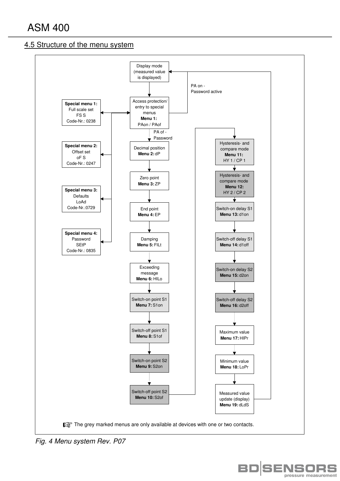#### 4.5 Structure of the menu system



Fig. 4 Menu system Rev. P07

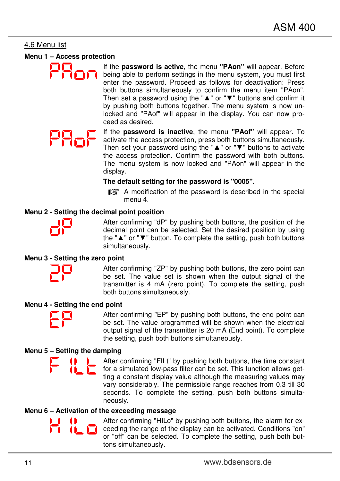#### 4.6 Menu list

#### **Menu 1 – Access protection**

If the **password is active**, the menu **"PAon"** will appear. Before being able to perform settings in the menu system, you must first enter the password. Proceed as follows for deactivation: Press both buttons simultaneously to confirm the menu item "PAon". Then set a password using the "▲" or "▼" buttons and confirm it by pushing both buttons together. The menu system is now unlocked and "PAof" will appear in the display. You can now proceed as desired.

If the **password is inactive**, the menu **"PAof"** will appear. To activate the access protection, press both buttons simultaneously. Then set your password using the "▲" or "▼" buttons to activate the access protection. Confirm the password with both buttons. The menu system is now locked and "PAon" will appear in the display.

#### **The default setting for the password is "0005".**

**EX** A modification of the password is described in the special menu 4.

#### **Menu 2 - Setting the decimal point position**



After confirming "dP" by pushing both buttons, the position of the decimal point can be selected. Set the desired position by using the "▲" or "▼" button. To complete the setting, push both buttons simultaneously.

#### **Menu 3 - Setting the zero point**



After confirming "ZP" by pushing both buttons, the zero point can be set. The value set is shown when the output signal of the transmitter is 4 mA (zero point). To complete the setting, push both buttons simultaneously.

#### **Menu 4 - Setting the end point**



After confirming "EP" by pushing both buttons, the end point can be set. The value programmed will be shown when the electrical output signal of the transmitter is 20 mA (End point). To complete the setting, push both buttons simultaneously.

#### **Menu 5 – Setting the damping**

፦ ЖЬ

After confirming "FILt" by pushing both buttons, the time constant for a simulated low-pass filter can be set. This function allows getting a constant display value although the measuring values may vary considerably. The permissible range reaches from 0.3 till 30 seconds. To complete the setting, push both buttons simultaneously.

#### **Menu 6 – Activation of the exceeding message**

After confirming "HILo" by pushing both buttons, the alarm for ex-**T** ceeding the range of the display can be activated. Conditions "on" or "off" can be selected. To complete the setting, push both buttons simultaneously.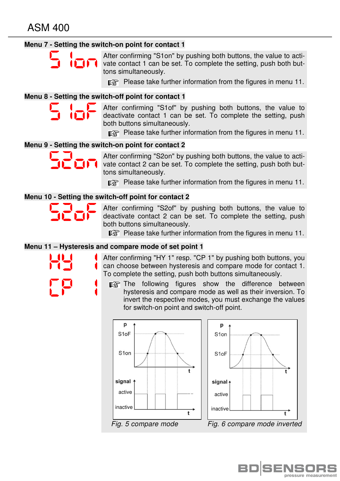#### **Menu 7 - Setting the switch-on point for contact 1**

After confirming "S1on" by pushing both buttons, the value to activate contact 1 can be set. To complete the setting, push both buttons simultaneously.

**REPREASE TRANS** Please take further information from the figures in menu 11.

#### **Menu 8 - Setting the switch-off point for contact 1**

After confirming "S1of" by pushing both buttons, the value to deactivate contact 1 can be set. To complete the setting, push both buttons simultaneously.

**REM** Please take further information from the figures in menu 11.

#### **Menu 9 - Setting the switch-on point for contact 2**

After confirming "S2on" by pushing both buttons, the value to activate contact 2 can be set. To complete the setting, push both buttons simultaneously.

**REST** Please take further information from the figures in menu 11.

#### **Menu 10 - Setting the switch-off point for contact 2**

After confirming "S2of" by pushing both buttons, the value to deactivate contact 2 can be set. To complete the setting, push both buttons simultaneously.

**Please take further information from the figures in menu 11.** 

#### **Menu 11 – Hysteresis and compare mode of set point 1**

After confirming "HY 1" resp. "CP 1" by pushing both buttons, you can choose between hysteresis and compare mode for contact 1. To complete the setting, push both buttons simultaneously.

**The following figures show the difference between**  hysteresis and compare mode as well as their inversion. To invert the respective modes, you must exchange the values for switch-on point and switch-off point.



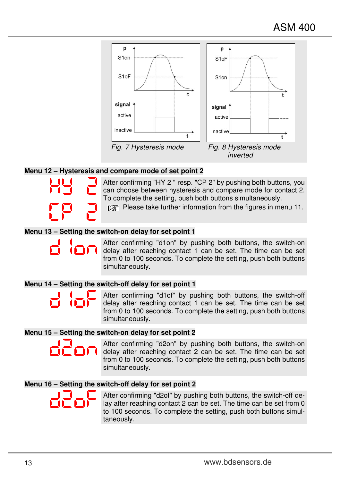

#### **Menu 12 – Hysteresis and compare mode of set point 2**

After confirming "HY 2 " resp. "CP 2" by pushing both buttons, you can choose between hysteresis and compare mode for contact 2. To complete the setting, push both buttons simultaneously.

**REPREASE TRANS** Please take further information from the figures in menu 11.

#### **Menu 13 – Setting the switch-on delay for set point 1**

After confirming "d1on" by pushing both buttons, the switch-on delay after reaching contact 1 can be set. The time can be set from 0 to 100 seconds. To complete the setting, push both buttons simultaneously.

#### **Menu 14 – Setting the switch-off delay for set point 1**

After confirming "d1of" by pushing both buttons, the switch-off delay after reaching contact 1 can be set. The time can be set from 0 to 100 seconds. To complete the setting, push both buttons simultaneously.

#### **Menu 15 – Setting the switch-on delay for set point 2**

After confirming "d2on" by pushing both buttons, the switch-on delay after reaching contact 2 can be set. The time can be set from 0 to 100 seconds. To complete the setting, push both buttons simultaneously.

#### **Menu 16 – Setting the switch-off delay for set point 2**



After confirming "d2of" by pushing both buttons, the switch-off delay after reaching contact 2 can be set. The time can be set from 0 to 100 seconds. To complete the setting, push both buttons simultaneously.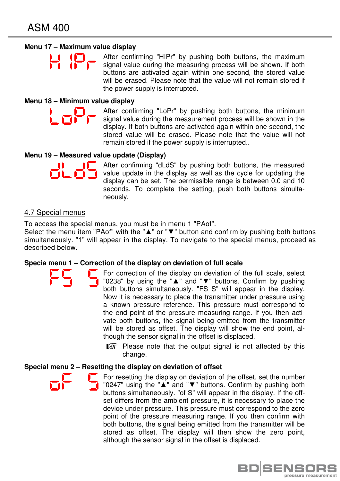#### **Menu 17 – Maximum value display**

After confirming "HIPr" by pushing both buttons, the maximum signal value during the measuring process will be shown. If both buttons are activated again within one second, the stored value will be erased. Please note that the value will not remain stored if the power supply is interrupted.

#### **Menu 18 – Minimum value display**

Lot

After confirming "LoPr" by pushing both buttons, the minimum signal value during the measurement process will be shown in the display. If both buttons are activated again within one second, the stored value will be erased. Please note that the value will not remain stored if the power supply is interrupted..

#### **Menu 19 – Measured value update (Display)**

After confirming "dLdS" by pushing both buttons, the measured value update in the display as well as the cycle for updating the display can be set. The permissible range is between 0.0 and 10 seconds. To complete the setting, push both buttons simultaneously.

#### 4.7 Special menus

To access the special menus, you must be in menu 1 "PAof".

Select the menu item "PAof" with the "▲" or "▼" button and confirm by pushing both buttons simultaneously. "1" will appear in the display. To navigate to the special menus, proceed as described below.

#### **Specia menu 1 – Correction of the display on deviation of full scale**

- For correction of the display on deviation of the full scale, select "0238" by using the "▲" and "▼" buttons. Confirm by pushing both buttons simultaneously. "FS S" will appear in the display. Now it is necessary to place the transmitter under pressure using a known pressure reference. This pressure must correspond to the end point of the pressure measuring range. If you then activate both buttons, the signal being emitted from the transmitter will be stored as offset. The display will show the end point, although the sensor signal in the offset is displaced.
	- **Please note that the output signal is not affected by this** change.

#### **Special menu 2 – Resetting the display on deviation of offset**

For resetting the display on deviation of the offset, set the number "0247" using the "▲" and "▼" buttons. Confirm by pushing both buttons simultaneously. "of S" will appear in the display. If the offset differs from the ambient pressure, it is necessary to place the device under pressure. This pressure must correspond to the zero point of the pressure measuring range. If you then confirm with both buttons, the signal being emitted from the transmitter will be stored as offset. The display will then show the zero point, although the sensor signal in the offset is displaced.

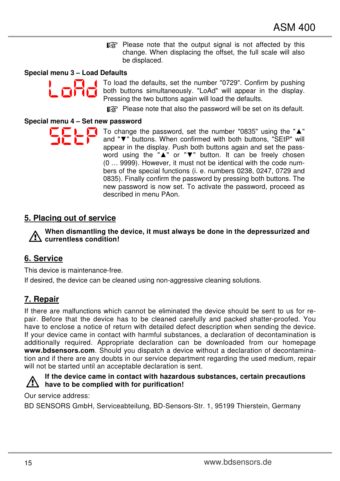$\mathbb{R}$  Please note that the output signal is not affected by this change. When displacing the offset, the full scale will also be displaced.

#### **Special menu 3 – Load Defaults**



To load the defaults, set the number "0729". Confirm by pushing both buttons simultaneously. "LoAd" will appear in the display. Pressing the two buttons again will load the defaults.

**Please note that also the password will be set on its default.** 

#### **Special menu 4 – Set new password**

To change the password, set the number "0835" using the "▲" and "▼" buttons. When confirmed with both buttons, "SEtP" will appear in the display. Push both buttons again and set the password using the "▲" or "▼" button. It can be freely chosen (0 … 9999). However, it must not be identical with the code numbers of the special functions (i. e. numbers 0238, 0247, 0729 and 0835). Finally confirm the password by pressing both buttons. The new password is now set. To activate the password, proceed as described in menu PAon.

# **5. Placing out of service**

**When dismantling the device, it must always be done in the depressurized and currentless condition!** 

## **6. Service**

This device is maintenance-free.

If desired, the device can be cleaned using non-aggressive cleaning solutions.

# **7. Repair**

If there are malfunctions which cannot be eliminated the device should be sent to us for repair. Before that the device has to be cleaned carefully and packed shatter-proofed. You have to enclose a notice of return with detailed defect description when sending the device. If your device came in contact with harmful substances, a declaration of decontamination is additionally required. Appropriate declaration can be downloaded from our homepage **www.bdsensors.com**. Should you dispatch a device without a declaration of decontamination and if there are any doubts in our service department regarding the used medium, repair will not be started until an acceptable declaration is sent.



#### **If the device came in contact with hazardous substances, certain precautions have to be complied with for purification!**

Our service address:

BD SENSORS GmbH, Serviceabteilung, BD-Sensors-Str. 1, 95199 Thierstein, Germany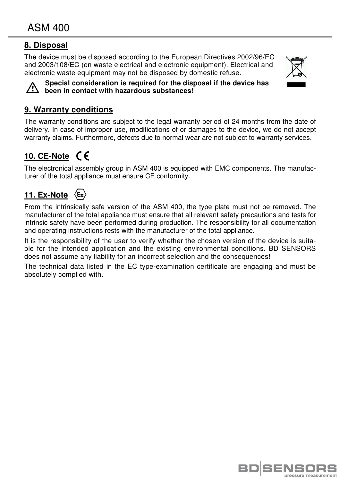# **8. Disposal**

The device must be disposed according to the European Directives 2002/96/EC and 2003/108/EC (on waste electrical and electronic equipment). Electrical and electronic waste equipment may not be disposed by domestic refuse.





**Special consideration is required for the disposal if the device has**   $\sqrt{2}$  been in contact with hazardous substances!

# **9. Warranty conditions**

The warranty conditions are subject to the legal warranty period of 24 months from the date of delivery. In case of improper use, modifications of or damages to the device, warranty claims. Furthermore, defects due to normal wear are not subject to warranty services. lectrical and<br>
levice has<br>
device has<br>
<br>
exerce, we do not accept

# **10. CE-Note**

The electronical assembly group in ASM 400 is equipped with EMC components. The manufa manufacturer of the total appliance must ensure CE conformity.

#### $\langle \epsilon_{\mathbf{x}} \rangle$ **11. Ex-Note**

From the intrinsically safe version of the ASM 400 400, the type plate must not be removed. The manufacturer of the total appliance must ensure that all relevant safety precautions and tests for intrinsic safety have been performed during production. The responsibility for all documentation and operating instructions rests with the manufacturer of the total appliance.

and operating instructions rests with the manufacturer of the total appliance.<br>It is the responsibility of the user to verify whether the chosen version of the device is suitable for the intended application and the existing environmental conditions. BD SENSORS does not assume any liability for an incorrect selection and the consequences!

The technical data listed in the EC type-examination certificate are engaging and must be absolutely complied with.

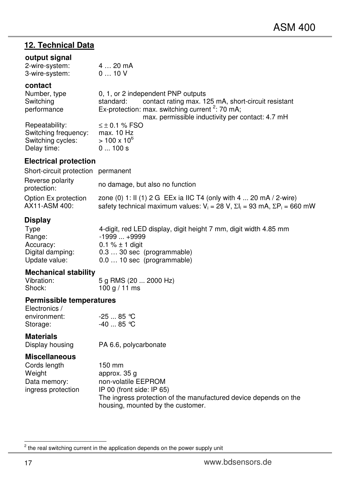# **12. Technical Data**

#### **output signal**

| 2-wire-system: |  |      | 4  20 mA |
|----------------|--|------|----------|
| 3-wire-system: |  | 010V |          |

#### **contact**

Delay time:

| Number, type         | 0, 1, or 2 independent PNP outputs                               |
|----------------------|------------------------------------------------------------------|
| Switching            | contact rating max. 125 mA, short-circuit resistant<br>standard: |
| performance          | Ex-protection: max. switching current $2:70$ mA;                 |
|                      | max. permissible inductivity per contact: 4.7 mH                 |
| Repeatability:       | $\leq \pm 0.1$ % FSO                                             |
| Switching frequency: | max. 10 Hz                                                       |
| Switching cycles:    | $> 100 \times 10^6$                                              |
| Delay time:          | 0100s                                                            |

#### **Electrical protection**

| Short-circuit protection permanent    |                                                                                                                                                                  |
|---------------------------------------|------------------------------------------------------------------------------------------------------------------------------------------------------------------|
| Reverse polarity<br>protection:       | no damage, but also no function                                                                                                                                  |
| Option Ex protection<br>AX11-ASM 400: | zone (0) 1: II (1) 2 G EEx ia IIC T4 (only with 4  20 mA / 2-wire)<br>safety technical maximum values: $V_i = 28$ V, $\Sigma l_i = 93$ mA, $\Sigma P_i = 660$ mW |

### **Display**

| Type             | 4-digit, red LED display, digit height 7 mm, digit width 4.85 mm |
|------------------|------------------------------------------------------------------|
| Range:           | $-1999+9999$                                                     |
| Accuracy:        | 0.1 $% \pm 1$ digit                                              |
| Digital damping: | $0.330$ sec (programmable)                                       |
| Update value:    | $0.010$ sec (programmable)                                       |

# **Mechanical stability**

Vibration:  $\begin{array}{c} 5 \text{ g RMS} (20 \dots 2000 \text{ Hz}) \\ \text{Shock:} \qquad 100 \text{ g} / 11 \text{ ms} \end{array}$  $100 g / 11 ms$ 

#### **Permissible temperatures**  Electronics /

| CIECITORICS / |            |
|---------------|------------|
| environment:  | $-2585$ °C |
| Storage:      | -40  85 ℃  |

**Materials**<br>**Display housing** PA 6.6, polycarbonate

#### **Miscellaneous**

| Cords length       | 150 mm                                                           |
|--------------------|------------------------------------------------------------------|
| Weight             | approx. 35 q                                                     |
| Data memory:       | non-volatile EEPROM                                              |
| ingress protection | IP 00 (front side: IP $65$ )                                     |
|                    | The ingress protection of the manufactured device depends on the |
|                    | housing, mounted by the customer.                                |

 $\overline{a}$ 

 $2$  the real switching current in the application depends on the power supply unit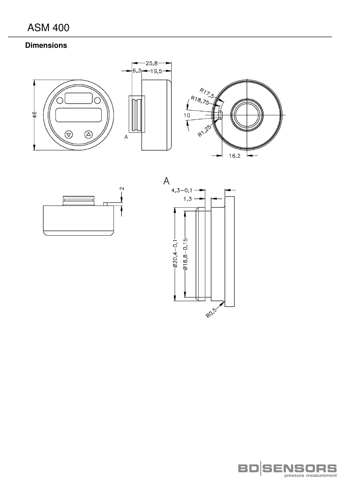# **Dimensions**